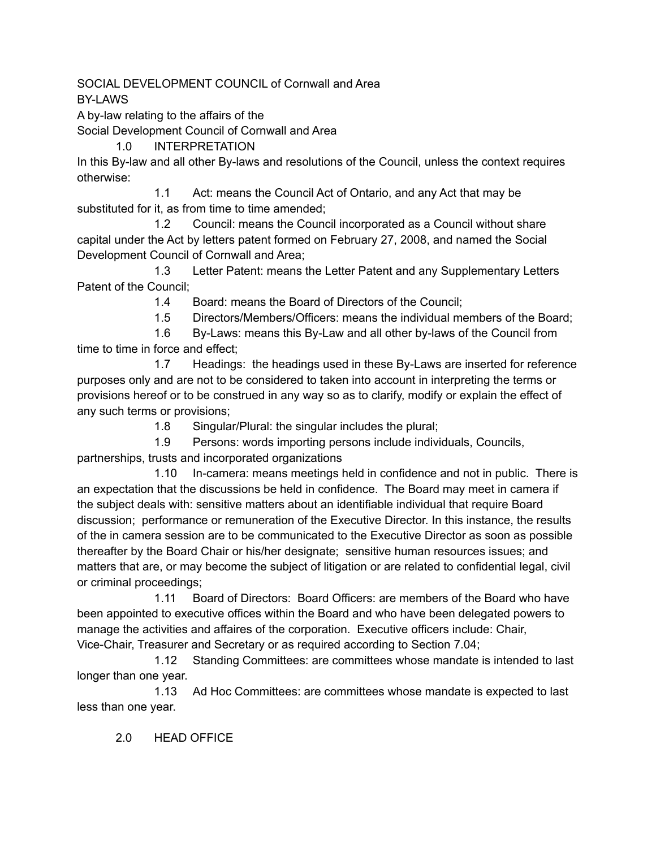SOCIAL DEVELOPMENT COUNCIL of Cornwall and Area BY-LAWS

A by-law relating to the affairs of the

Social Development Council of Cornwall and Area

1.0 INTERPRETATION

In this By-law and all other By-laws and resolutions of the Council, unless the context requires otherwise:

1.1 Act: means the Council Act of Ontario, and any Act that may be substituted for it, as from time to time amended;

1.2 Council: means the Council incorporated as a Council without share capital under the Act by letters patent formed on February 27, 2008, and named the Social Development Council of Cornwall and Area;

1.3 Letter Patent: means the Letter Patent and any Supplementary Letters Patent of the Council;

1.4 Board: means the Board of Directors of the Council;

1.5 Directors/Members/Officers: means the individual members of the Board;

1.6 By-Laws: means this By-Law and all other by-laws of the Council from time to time in force and effect;

1.7 Headings: the headings used in these By-Laws are inserted for reference purposes only and are not to be considered to taken into account in interpreting the terms or provisions hereof or to be construed in any way so as to clarify, modify or explain the effect of any such terms or provisions;

1.8 Singular/Plural: the singular includes the plural;

1.9 Persons: words importing persons include individuals, Councils, partnerships, trusts and incorporated organizations

1.10 In-camera: means meetings held in confidence and not in public. There is an expectation that the discussions be held in confidence. The Board may meet in camera if the subject deals with: sensitive matters about an identifiable individual that require Board discussion; performance or remuneration of the Executive Director. In this instance, the results of the in camera session are to be communicated to the Executive Director as soon as possible thereafter by the Board Chair or his/her designate; sensitive human resources issues; and matters that are, or may become the subject of litigation or are related to confidential legal, civil or criminal proceedings;

1.11 Board of Directors: Board Officers: are members of the Board who have been appointed to executive offices within the Board and who have been delegated powers to manage the activities and affaires of the corporation. Executive officers include: Chair, Vice-Chair, Treasurer and Secretary or as required according to Section 7.04;

1.12 Standing Committees: are committees whose mandate is intended to last longer than one year.

1.13 Ad Hoc Committees: are committees whose mandate is expected to last less than one year.

2.0 HEAD OFFICE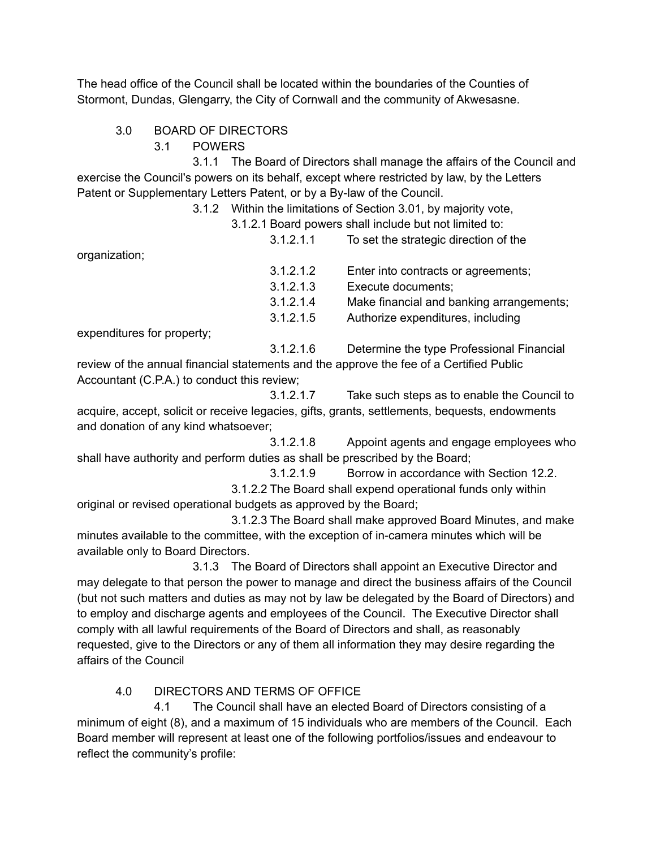The head office of the Council shall be located within the boundaries of the Counties of Stormont, Dundas, Glengarry, the City of Cornwall and the community of Akwesasne.

- 3.0 BOARD OF DIRECTORS
	- 3.1 POWERS

3.1.1 The Board of Directors shall manage the affairs of the Council and exercise the Council's powers on its behalf, except where restricted by law, by the Letters Patent or Supplementary Letters Patent, or by a By-law of the Council.

3.1.2 Within the limitations of Section 3.01, by majority vote,

3.1.2.1 Board powers shall include but not limited to:

organization;

3.1.2.1.2 Enter into contracts or agreements; 3.1.2.1.3 Execute documents; 3.1.2.1.4 Make financial and banking arrangements; 3.1.2.1.5 Authorize expenditures, including

3.1.2.1.1 To set the strategic direction of the

expenditures for property;

3.1.2.1.6 Determine the type Professional Financial

review of the annual financial statements and the approve the fee of a Certified Public Accountant (C.P.A.) to conduct this review;

3.1.2.1.7 Take such steps as to enable the Council to acquire, accept, solicit or receive legacies, gifts, grants, settlements, bequests, endowments and donation of any kind whatsoever;

3.1.2.1.8 Appoint agents and engage employees who shall have authority and perform duties as shall be prescribed by the Board;

3.1.2.1.9 Borrow in accordance with Section 12.2.

3.1.2.2 The Board shall expend operational funds only within original or revised operational budgets as approved by the Board;

3.1.2.3 The Board shall make approved Board Minutes, and make minutes available to the committee, with the exception of in-camera minutes which will be available only to Board Directors.

3.1.3 The Board of Directors shall appoint an Executive Director and may delegate to that person the power to manage and direct the business affairs of the Council (but not such matters and duties as may not by law be delegated by the Board of Directors) and to employ and discharge agents and employees of the Council. The Executive Director shall comply with all lawful requirements of the Board of Directors and shall, as reasonably requested, give to the Directors or any of them all information they may desire regarding the affairs of the Council

4.0 DIRECTORS AND TERMS OF OFFICE

4.1 The Council shall have an elected Board of Directors consisting of a minimum of eight (8), and a maximum of 15 individuals who are members of the Council. Each Board member will represent at least one of the following portfolios/issues and endeavour to reflect the community's profile: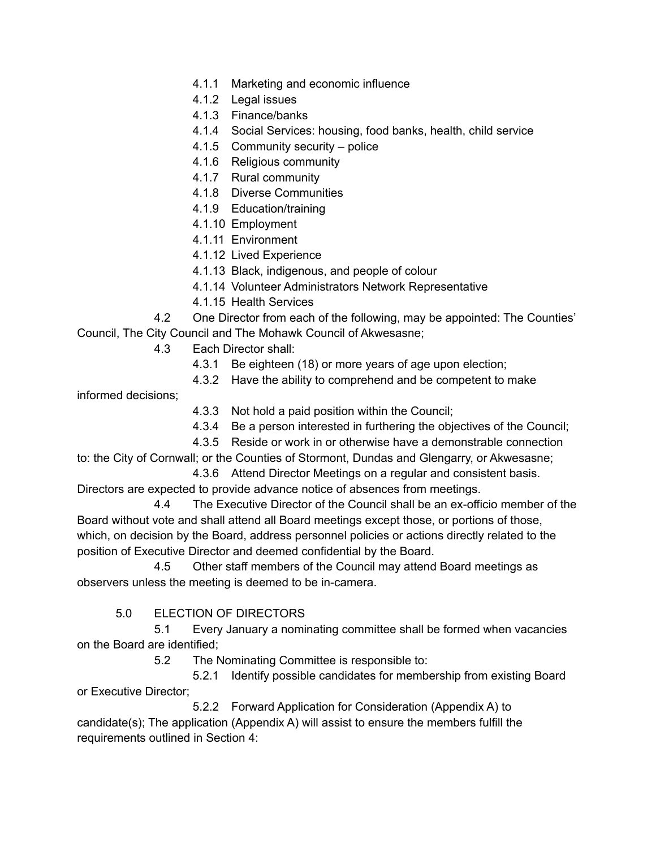- 4.1.1 Marketing and economic influence
- 4.1.2 Legal issues
- 4.1.3 Finance/banks
- 4.1.4 Social Services: housing, food banks, health, child service
- 4.1.5 Community security police
- 4.1.6 Religious community
- 4.1.7 Rural community
- 4.1.8 Diverse Communities
- 4.1.9 Education/training
- 4.1.10 Employment
- 4.1.11 Environment
- 4.1.12 Lived Experience
- 4.1.13 Black, indigenous, and people of colour
- 4.1.14 Volunteer Administrators Network Representative
- 4.1.15 Health Services

4.2 One Director from each of the following, may be appointed: The Counties' Council, The City Council and The Mohawk Council of Akwesasne;

- 4.3 Each Director shall:
	- 4.3.1 Be eighteen (18) or more years of age upon election;
	- 4.3.2 Have the ability to comprehend and be competent to make

informed decisions;

- 4.3.3 Not hold a paid position within the Council;
- 4.3.4 Be a person interested in furthering the objectives of the Council;
- 4.3.5 Reside or work in or otherwise have a demonstrable connection

to: the City of Cornwall; or the Counties of Stormont, Dundas and Glengarry, or Akwesasne; 4.3.6 Attend Director Meetings on a regular and consistent basis.

Directors are expected to provide advance notice of absences from meetings.

4.4 The Executive Director of the Council shall be an ex-officio member of the Board without vote and shall attend all Board meetings except those, or portions of those, which, on decision by the Board, address personnel policies or actions directly related to the position of Executive Director and deemed confidential by the Board.

4.5 Other staff members of the Council may attend Board meetings as observers unless the meeting is deemed to be in-camera.

### 5.0 ELECTION OF DIRECTORS

5.1 Every January a nominating committee shall be formed when vacancies on the Board are identified;

5.2 The Nominating Committee is responsible to:

5.2.1 Identify possible candidates for membership from existing Board or Executive Director;

5.2.2 Forward Application for Consideration (Appendix A) to candidate(s); The application (Appendix A) will assist to ensure the members fulfill the requirements outlined in Section 4: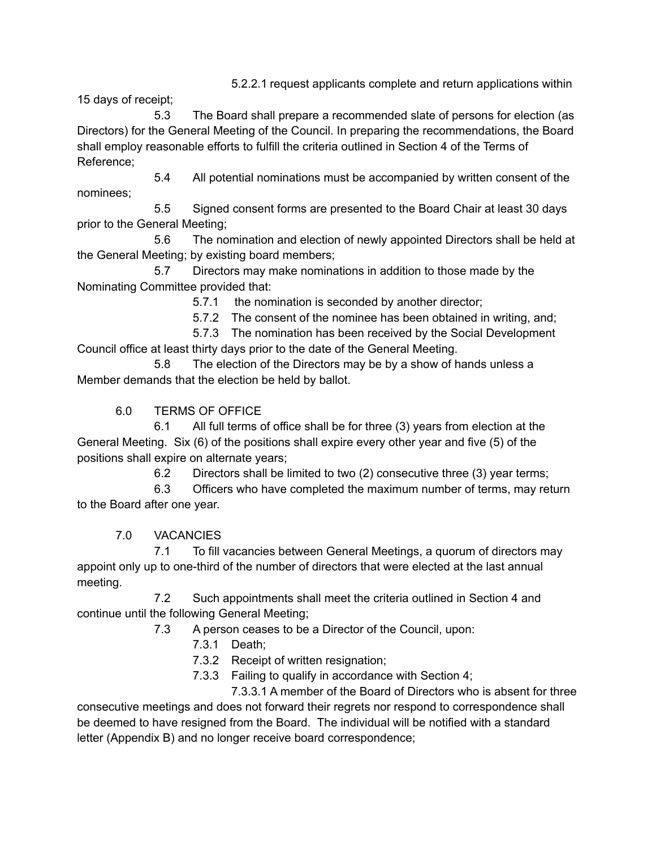5.2.2.1 request applicants complete and return applications within

15 days of receipt;

5.3 The Board shall prepare a recommended slate of persons for election (as Directors) for the General Meeting of the Council. In preparing the recommendations, the Board shall employ reasonable efforts to fulfill the criteria outlined in Section 4 of the Terms of Reference;

5.4 All potential nominations must be accompanied by written consent of the nominees;

5.5 Signed consent forms are presented to the Board Chair at least 30 days prior to the General Meeting;

5.6 The nomination and election of newly appointed Directors shall be held at the General Meeting; by existing board members;

5.7 Directors may make nominations in addition to those made by the Nominating Committee provided that:

5.7.1 the nomination is seconded by another director;

5.7.2 The consent of the nominee has been obtained in writing, and;

5.7.3 The nomination has been received by the Social Development Council office at least thirty days prior to the date of the General Meeting.

5.8 The election of the Directors may be by a show of hands unless a Member demands that the election be held by ballot.

6.0 TERMS OF OFFICE

6.1 All full terms of office shall be for three (3) years from election at the General Meeting. Six (6) of the positions shall expire every other year and five (5) of the positions shall expire on alternate years;

6.2 Directors shall be limited to two (2) consecutive three (3) year terms;

6.3 Officers who have completed the maximum number of terms, may return to the Board after one year.

7.0 VACANCIES

7.1 To fill vacancies between General Meetings, a quorum of directors may appoint only up to one-third of the number of directors that were elected at the last annual meeting.

7.2 Such appointments shall meet the criteria outlined in Section 4 and continue until the following General Meeting;

7.3 A person ceases to be a Director of the Council, upon:

7.3.1 Death;

7.3.2 Receipt of written resignation;

7.3.3 Failing to qualify in accordance with Section 4;

7.3.3.1 A member of the Board of Directors who is absent for three consecutive meetings and does not forward their regrets nor respond to correspondence shall be deemed to have resigned from the Board. The individual will be notified with a standard letter (Appendix B) and no longer receive board correspondence;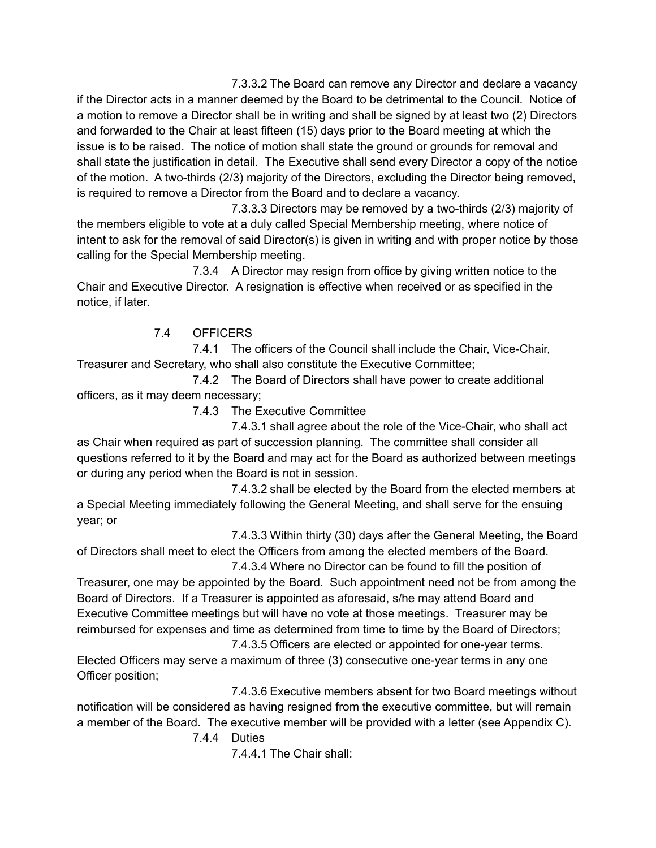7.3.3.2 The Board can remove any Director and declare a vacancy if the Director acts in a manner deemed by the Board to be detrimental to the Council. Notice of a motion to remove a Director shall be in writing and shall be signed by at least two (2) Directors and forwarded to the Chair at least fifteen (15) days prior to the Board meeting at which the issue is to be raised. The notice of motion shall state the ground or grounds for removal and shall state the justification in detail. The Executive shall send every Director a copy of the notice of the motion. A two-thirds (2/3) majority of the Directors, excluding the Director being removed, is required to remove a Director from the Board and to declare a vacancy.

7.3.3.3 Directors may be removed by a two-thirds (2/3) majority of the members eligible to vote at a duly called Special Membership meeting, where notice of intent to ask for the removal of said Director(s) is given in writing and with proper notice by those calling for the Special Membership meeting.

7.3.4 A Director may resign from office by giving written notice to the Chair and Executive Director. A resignation is effective when received or as specified in the notice, if later.

# 7.4 OFFICERS

7.4.1 The officers of the Council shall include the Chair, Vice-Chair, Treasurer and Secretary, who shall also constitute the Executive Committee;

7.4.2 The Board of Directors shall have power to create additional officers, as it may deem necessary;

7.4.3 The Executive Committee

7.4.3.1 shall agree about the role of the Vice-Chair, who shall act as Chair when required as part of succession planning. The committee shall consider all questions referred to it by the Board and may act for the Board as authorized between meetings or during any period when the Board is not in session.

7.4.3.2 shall be elected by the Board from the elected members at a Special Meeting immediately following the General Meeting, and shall serve for the ensuing year; or

7.4.3.3 Within thirty (30) days after the General Meeting, the Board of Directors shall meet to elect the Officers from among the elected members of the Board.

7.4.3.4 Where no Director can be found to fill the position of Treasurer, one may be appointed by the Board. Such appointment need not be from among the Board of Directors. If a Treasurer is appointed as aforesaid, s/he may attend Board and Executive Committee meetings but will have no vote at those meetings. Treasurer may be reimbursed for expenses and time as determined from time to time by the Board of Directors;

7.4.3.5 Officers are elected or appointed for one-year terms. Elected Officers may serve a maximum of three (3) consecutive one-year terms in any one Officer position;

7.4.3.6 Executive members absent for two Board meetings without notification will be considered as having resigned from the executive committee, but will remain a member of the Board. The executive member will be provided with a letter (see Appendix C).

7.4.4 Duties

7.4.4.1 The Chair shall: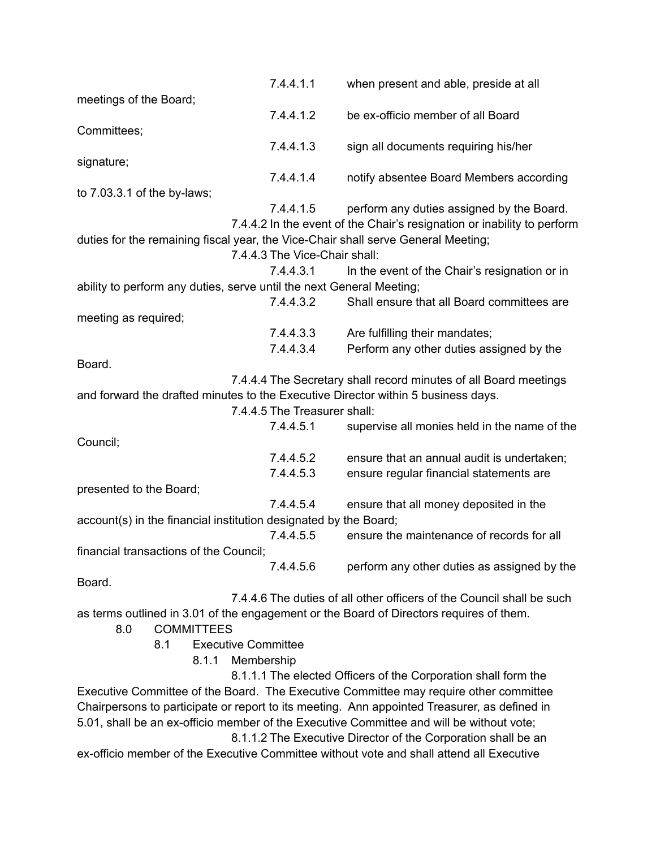|                                                                                                                   | 7.4.4.1.1 | when present and able, preside at all                                                    |  |
|-------------------------------------------------------------------------------------------------------------------|-----------|------------------------------------------------------------------------------------------|--|
| meetings of the Board;                                                                                            |           |                                                                                          |  |
|                                                                                                                   | 7.4.4.1.2 | be ex-officio member of all Board                                                        |  |
| Committees;                                                                                                       |           |                                                                                          |  |
|                                                                                                                   | 7.4.4.1.3 | sign all documents requiring his/her                                                     |  |
| signature;                                                                                                        |           |                                                                                          |  |
|                                                                                                                   | 7.4.4.1.4 | notify absentee Board Members according                                                  |  |
| to 7.03.3.1 of the by-laws;                                                                                       |           |                                                                                          |  |
|                                                                                                                   | 7.4.4.1.5 | perform any duties assigned by the Board.                                                |  |
|                                                                                                                   |           | 7.4.4.2 In the event of the Chair's resignation or inability to perform                  |  |
| duties for the remaining fiscal year, the Vice-Chair shall serve General Meeting;                                 |           |                                                                                          |  |
| 7.4.4.3 The Vice-Chair shall:                                                                                     |           |                                                                                          |  |
|                                                                                                                   | 7.4.4.3.1 | In the event of the Chair's resignation or in                                            |  |
| ability to perform any duties, serve until the next General Meeting;                                              |           |                                                                                          |  |
|                                                                                                                   | 7.4.4.3.2 | Shall ensure that all Board committees are                                               |  |
| meeting as required;                                                                                              |           |                                                                                          |  |
|                                                                                                                   | 7.4.4.3.3 | Are fulfilling their mandates;                                                           |  |
|                                                                                                                   | 7.4.4.3.4 | Perform any other duties assigned by the                                                 |  |
| Board.                                                                                                            |           |                                                                                          |  |
|                                                                                                                   |           | 7.4.4.4 The Secretary shall record minutes of all Board meetings                         |  |
|                                                                                                                   |           |                                                                                          |  |
| and forward the drafted minutes to the Executive Director within 5 business days.<br>7.4.4.5 The Treasurer shall: |           |                                                                                          |  |
|                                                                                                                   | 7.4.4.5.1 | supervise all monies held in the name of the                                             |  |
| Council;                                                                                                          |           |                                                                                          |  |
|                                                                                                                   | 7.4.4.5.2 | ensure that an annual audit is undertaken;                                               |  |
|                                                                                                                   | 7.4.4.5.3 |                                                                                          |  |
|                                                                                                                   |           | ensure regular financial statements are                                                  |  |
| presented to the Board;                                                                                           |           |                                                                                          |  |
|                                                                                                                   | 7.4.4.5.4 | ensure that all money deposited in the                                                   |  |
| account(s) in the financial institution designated by the Board;                                                  |           |                                                                                          |  |
|                                                                                                                   | 7.4.4.5.5 | ensure the maintenance of records for all                                                |  |
| financial transactions of the Council;                                                                            |           |                                                                                          |  |
|                                                                                                                   | 7.4.4.5.6 | perform any other duties as assigned by the                                              |  |
| Board.                                                                                                            |           |                                                                                          |  |
|                                                                                                                   |           | 7.4.4.6 The duties of all other officers of the Council shall be such                    |  |
| as terms outlined in 3.01 of the engagement or the Board of Directors requires of them.                           |           |                                                                                          |  |
| <b>COMMITTEES</b><br>8.0                                                                                          |           |                                                                                          |  |
| 8.1<br><b>Executive Committee</b>                                                                                 |           |                                                                                          |  |
| 8.1.1<br>Membership                                                                                               |           |                                                                                          |  |
|                                                                                                                   |           | 8.1.1.1 The elected Officers of the Corporation shall form the                           |  |
| Executive Committee of the Board. The Executive Committee may require other committee                             |           |                                                                                          |  |
| Chairpersons to participate or report to its meeting. Ann appointed Treasurer, as defined in                      |           |                                                                                          |  |
| 5.01, shall be an ex-officio member of the Executive Committee and will be without vote;                          |           |                                                                                          |  |
|                                                                                                                   |           | 8.1.1.2 The Executive Director of the Corporation shall be an                            |  |
|                                                                                                                   |           | ex-officio member of the Executive Committee without vote and shall attend all Executive |  |
|                                                                                                                   |           |                                                                                          |  |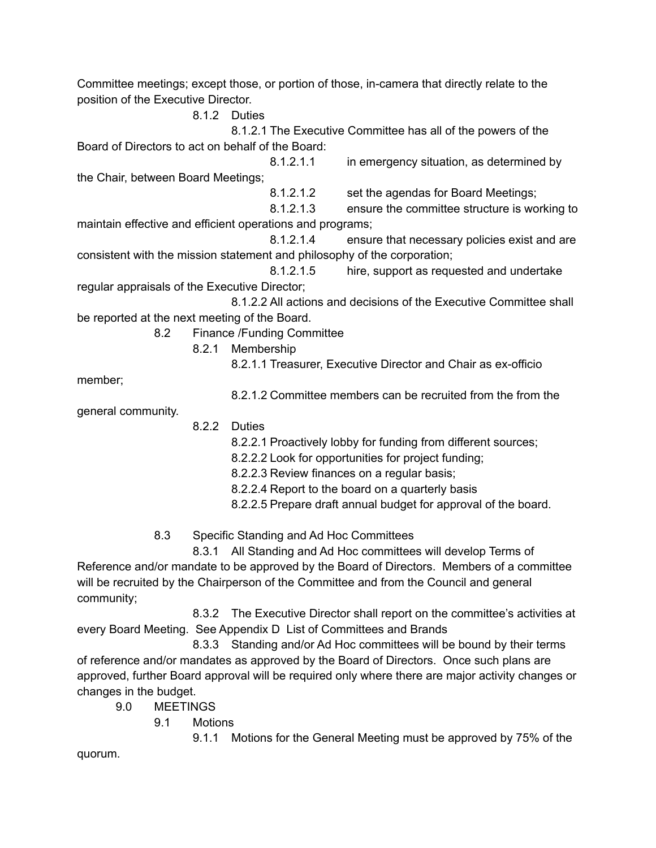Committee meetings; except those, or portion of those, in-camera that directly relate to the position of the Executive Director. 8.1.2 Duties 8.1.2.1 The Executive Committee has all of the powers of the Board of Directors to act on behalf of the Board: 8.1.2.1.1 in emergency situation, as determined by the Chair, between Board Meetings; 8.1.2.1.2 set the agendas for Board Meetings; 8.1.2.1.3 ensure the committee structure is working to maintain effective and efficient operations and programs; 8.1.2.1.4 ensure that necessary policies exist and are consistent with the mission statement and philosophy of the corporation; 8.1.2.1.5 hire, support as requested and undertake regular appraisals of the Executive Director; 8.1.2.2 All actions and decisions of the Executive Committee shall be reported at the next meeting of the Board. 8.2 Finance /Funding Committee 8.2.1 Membership 8.2.1.1 Treasurer, Executive Director and Chair as ex-officio member; 8.2.1.2 Committee members can be recruited from the from the general community. 8.2.2 Duties 8.2.2.1 Proactively lobby for funding from different sources; 8.2.2.2 Look for opportunities for project funding; 8.2.2.3 Review finances on a regular basis; 8.2.2.4 Report to the board on a quarterly basis 8.2.2.5 Prepare draft annual budget for approval of the board. 8.3 Specific Standing and Ad Hoc Committees 8.3.1 All Standing and Ad Hoc committees will develop Terms of Reference and/or mandate to be approved by the Board of Directors. Members of a committee will be recruited by the Chairperson of the Committee and from the Council and general community; 8.3.2 The Executive Director shall report on the committee's activities at

every Board Meeting. See Appendix D List of Committees and Brands 8.3.3 Standing and/or Ad Hoc committees will be bound by their terms of reference and/or mandates as approved by the Board of Directors. Once such plans are approved, further Board approval will be required only where there are major activity changes or changes in the budget.

- 9.0 MEETINGS
	- 9.1 Motions

9.1.1 Motions for the General Meeting must be approved by 75% of the

quorum.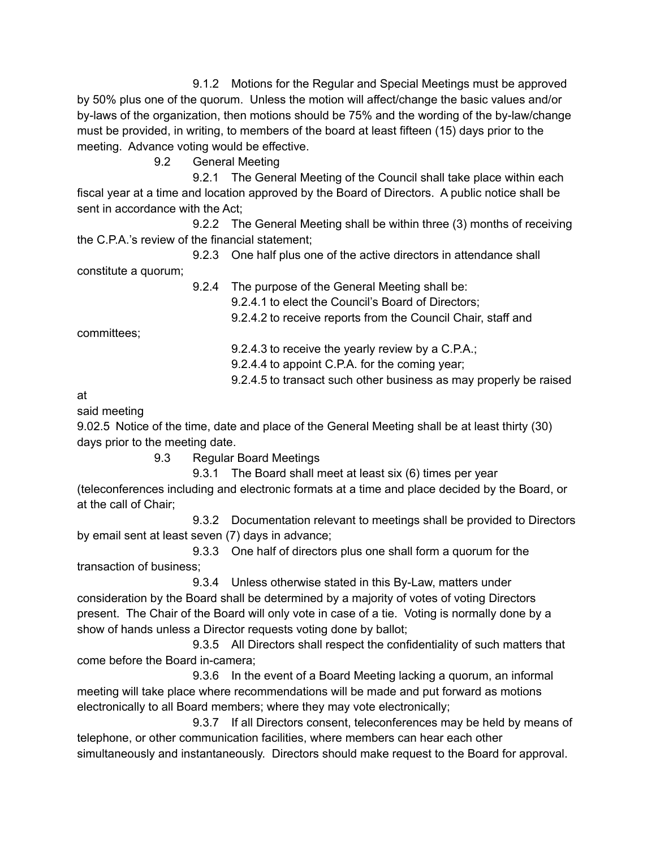9.1.2 Motions for the Regular and Special Meetings must be approved by 50% plus one of the quorum. Unless the motion will affect/change the basic values and/or by-laws of the organization, then motions should be 75% and the wording of the by-law/change must be provided, in writing, to members of the board at least fifteen (15) days prior to the meeting. Advance voting would be effective.

9.2 General Meeting

9.2.1 The General Meeting of the Council shall take place within each fiscal year at a time and location approved by the Board of Directors. A public notice shall be sent in accordance with the Act;

9.2.2 The General Meeting shall be within three (3) months of receiving the C.P.A.'s review of the financial statement;

9.2.3 One half plus one of the active directors in attendance shall constitute a quorum;

> 9.2.4 The purpose of the General Meeting shall be: 9.2.4.1 to elect the Council's Board of Directors; 9.2.4.2 to receive reports from the Council Chair, staff and

committees;

9.2.4.3 to receive the yearly review by a C.P.A.;

9.2.4.4 to appoint C.P.A. for the coming year;

9.2.4.5 to transact such other business as may properly be raised

at

said meeting

9.02.5 Notice of the time, date and place of the General Meeting shall be at least thirty (30) days prior to the meeting date.

9.3 Regular Board Meetings

9.3.1 The Board shall meet at least six (6) times per year (teleconferences including and electronic formats at a time and place decided by the Board, or at the call of Chair;

9.3.2 Documentation relevant to meetings shall be provided to Directors by email sent at least seven (7) days in advance;

9.3.3 One half of directors plus one shall form a quorum for the transaction of business;

9.3.4 Unless otherwise stated in this By-Law, matters under consideration by the Board shall be determined by a majority of votes of voting Directors present. The Chair of the Board will only vote in case of a tie. Voting is normally done by a show of hands unless a Director requests voting done by ballot;

9.3.5 All Directors shall respect the confidentiality of such matters that come before the Board in-camera;

9.3.6 In the event of a Board Meeting lacking a quorum, an informal meeting will take place where recommendations will be made and put forward as motions electronically to all Board members; where they may vote electronically;

9.3.7 If all Directors consent, teleconferences may be held by means of telephone, or other communication facilities, where members can hear each other simultaneously and instantaneously. Directors should make request to the Board for approval.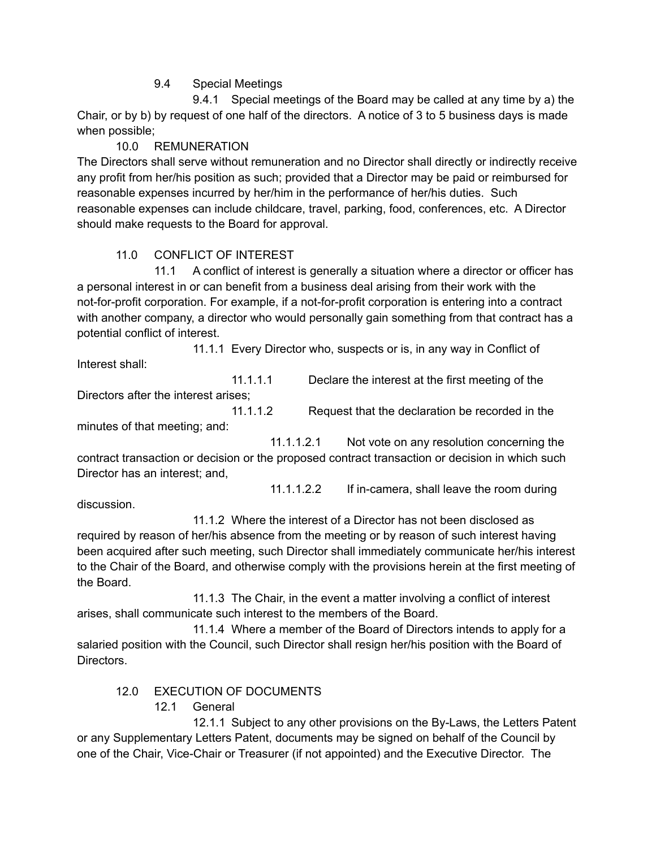9.4 Special Meetings

9.4.1 Special meetings of the Board may be called at any time by a) the Chair, or by b) by request of one half of the directors. A notice of 3 to 5 business days is made when possible;

## 10.0 REMUNERATION

The Directors shall serve without remuneration and no Director shall directly or indirectly receive any profit from her/his position as such; provided that a Director may be paid or reimbursed for reasonable expenses incurred by her/him in the performance of her/his duties. Such reasonable expenses can include childcare, travel, parking, food, conferences, etc. A Director should make requests to the Board for approval.

# 11.0 CONFLICT OF INTEREST

11.1 A conflict of interest is generally a situation where a director or officer has a personal interest in or can benefit from a business deal arising from their work with the not-for-profit corporation. For example, if a not-for-profit corporation is entering into a contract with another company, a director who would personally gain something from that contract has a potential conflict of interest.

11.1.1 Every Director who, suspects or is, in any way in Conflict of Interest shall:

11.1.1.1 Declare the interest at the first meeting of the

Directors after the interest arises;

11.1.1.2 Request that the declaration be recorded in the

minutes of that meeting; and:

11.1.1.2.1 Not vote on any resolution concerning the contract transaction or decision or the proposed contract transaction or decision in which such Director has an interest; and,

11.1.1.2.2 If in-camera, shall leave the room during

discussion.

11.1.2 Where the interest of a Director has not been disclosed as required by reason of her/his absence from the meeting or by reason of such interest having been acquired after such meeting, such Director shall immediately communicate her/his interest to the Chair of the Board, and otherwise comply with the provisions herein at the first meeting of the Board.

11.1.3 The Chair, in the event a matter involving a conflict of interest arises, shall communicate such interest to the members of the Board.

11.1.4 Where a member of the Board of Directors intends to apply for a salaried position with the Council, such Director shall resign her/his position with the Board of Directors.

## 12.0 EXECUTION OF DOCUMENTS

12.1 General

12.1.1 Subject to any other provisions on the By-Laws, the Letters Patent or any Supplementary Letters Patent, documents may be signed on behalf of the Council by one of the Chair, Vice-Chair or Treasurer (if not appointed) and the Executive Director. The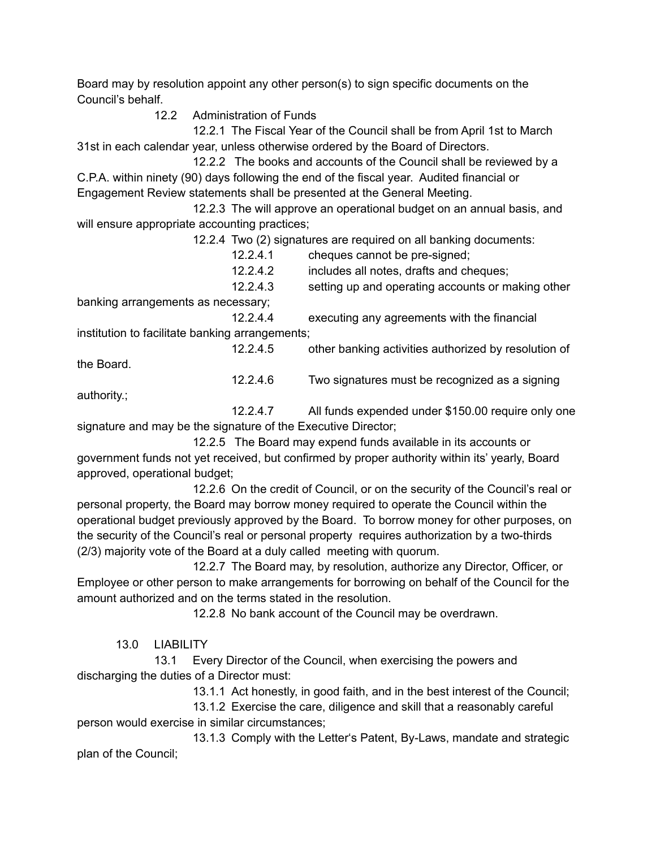Board may by resolution appoint any other person(s) to sign specific documents on the Council's behalf.

12.2 Administration of Funds

12.2.1 The Fiscal Year of the Council shall be from April 1st to March 31st in each calendar year, unless otherwise ordered by the Board of Directors.

12.2.2 The books and accounts of the Council shall be reviewed by a C.P.A. within ninety (90) days following the end of the fiscal year. Audited financial or Engagement Review statements shall be presented at the General Meeting.

12.2.3 The will approve an operational budget on an annual basis, and will ensure appropriate accounting practices;

12.2.4 Two (2) signatures are required on all banking documents:

| 12.2.4.1  | cheques cannot be pre-signed;           |  |
|-----------|-----------------------------------------|--|
| 1 2 2 4 2 | includge all notes, drafts and shoques: |  |

12.2.4.2 includes all notes, drafts and cheques; 12.2.4.3 setting up and operating accounts or making other

12.2.4.6 Two signatures must be recognized as a signing

banking arrangements as necessary;

12.2.4.4 executing any agreements with the financial institution to facilitate banking arrangements;

12.2.4.5 other banking activities authorized by resolution of the Board.

authority.;

12.2.4.7 All funds expended under \$150.00 require only one signature and may be the signature of the Executive Director;

12.2.5 The Board may expend funds available in its accounts or government funds not yet received, but confirmed by proper authority within its' yearly, Board approved, operational budget;

12.2.6 On the credit of Council, or on the security of the Council's real or personal property, the Board may borrow money required to operate the Council within the operational budget previously approved by the Board. To borrow money for other purposes, on the security of the Council's real or personal property requires authorization by a two-thirds (2/3) majority vote of the Board at a duly called meeting with quorum.

12.2.7 The Board may, by resolution, authorize any Director, Officer, or Employee or other person to make arrangements for borrowing on behalf of the Council for the amount authorized and on the terms stated in the resolution.

12.2.8 No bank account of the Council may be overdrawn.

13.0 LIABILITY

13.1 Every Director of the Council, when exercising the powers and discharging the duties of a Director must:

13.1.1 Act honestly, in good faith, and in the best interest of the Council;

13.1.2 Exercise the care, diligence and skill that a reasonably careful person would exercise in similar circumstances;

13.1.3 Comply with the Letter's Patent, By-Laws, mandate and strategic plan of the Council;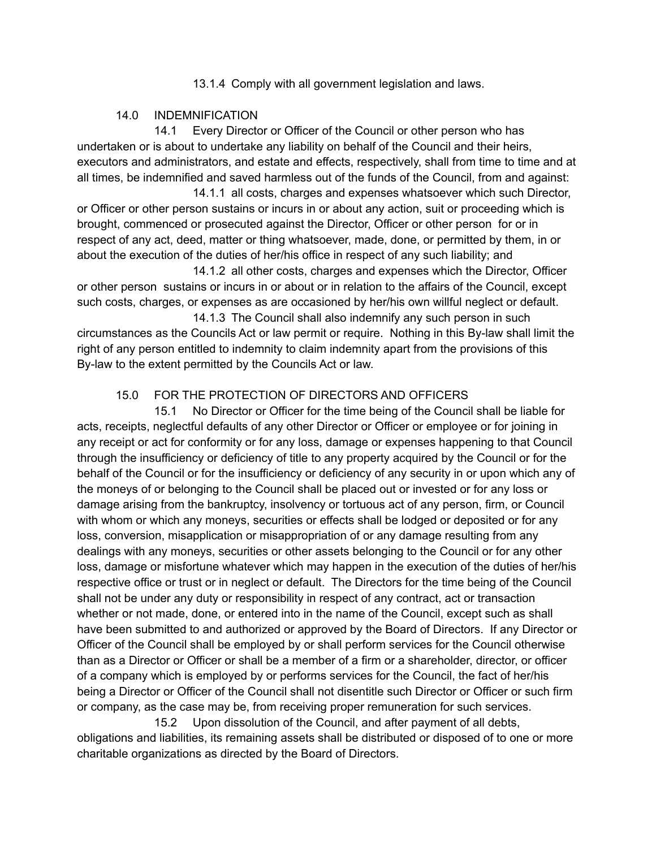13.1.4 Comply with all government legislation and laws.

#### 14.0 INDEMNIFICATION

14.1 Every Director or Officer of the Council or other person who has undertaken or is about to undertake any liability on behalf of the Council and their heirs, executors and administrators, and estate and effects, respectively, shall from time to time and at all times, be indemnified and saved harmless out of the funds of the Council, from and against:

14.1.1 all costs, charges and expenses whatsoever which such Director, or Officer or other person sustains or incurs in or about any action, suit or proceeding which is brought, commenced or prosecuted against the Director, Officer or other person for or in respect of any act, deed, matter or thing whatsoever, made, done, or permitted by them, in or about the execution of the duties of her/his office in respect of any such liability; and

14.1.2 all other costs, charges and expenses which the Director, Officer or other person sustains or incurs in or about or in relation to the affairs of the Council, except such costs, charges, or expenses as are occasioned by her/his own willful neglect or default.

14.1.3 The Council shall also indemnify any such person in such circumstances as the Councils Act or law permit or require. Nothing in this By-law shall limit the right of any person entitled to indemnity to claim indemnity apart from the provisions of this By-law to the extent permitted by the Councils Act or law.

### 15.0 FOR THE PROTECTION OF DIRECTORS AND OFFICERS

15.1 No Director or Officer for the time being of the Council shall be liable for acts, receipts, neglectful defaults of any other Director or Officer or employee or for joining in any receipt or act for conformity or for any loss, damage or expenses happening to that Council through the insufficiency or deficiency of title to any property acquired by the Council or for the behalf of the Council or for the insufficiency or deficiency of any security in or upon which any of the moneys of or belonging to the Council shall be placed out or invested or for any loss or damage arising from the bankruptcy, insolvency or tortuous act of any person, firm, or Council with whom or which any moneys, securities or effects shall be lodged or deposited or for any loss, conversion, misapplication or misappropriation of or any damage resulting from any dealings with any moneys, securities or other assets belonging to the Council or for any other loss, damage or misfortune whatever which may happen in the execution of the duties of her/his respective office or trust or in neglect or default. The Directors for the time being of the Council shall not be under any duty or responsibility in respect of any contract, act or transaction whether or not made, done, or entered into in the name of the Council, except such as shall have been submitted to and authorized or approved by the Board of Directors. If any Director or Officer of the Council shall be employed by or shall perform services for the Council otherwise than as a Director or Officer or shall be a member of a firm or a shareholder, director, or officer of a company which is employed by or performs services for the Council, the fact of her/his being a Director or Officer of the Council shall not disentitle such Director or Officer or such firm or company, as the case may be, from receiving proper remuneration for such services.

15.2 Upon dissolution of the Council, and after payment of all debts, obligations and liabilities, its remaining assets shall be distributed or disposed of to one or more charitable organizations as directed by the Board of Directors.